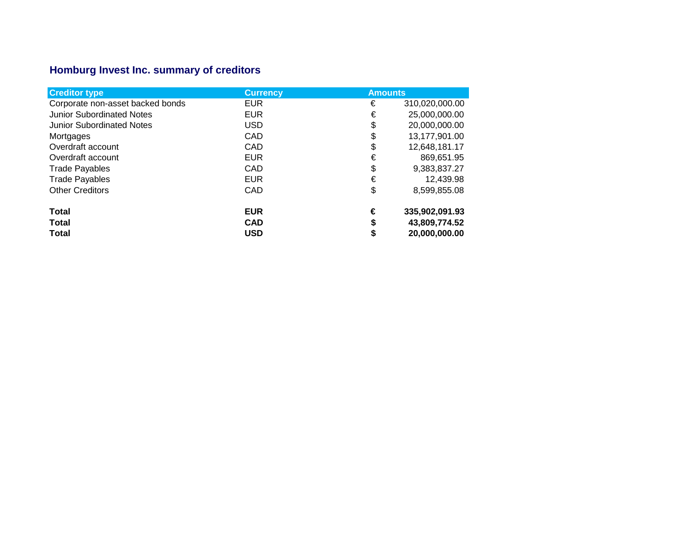## **Homburg Invest Inc. summary of creditors**

| <b>Creditor type</b>             | <b>Currency</b> | <b>Amounts</b>      |
|----------------------------------|-----------------|---------------------|
| Corporate non-asset backed bonds | <b>EUR</b>      | €<br>310,020,000.00 |
| <b>Junior Subordinated Notes</b> | <b>EUR</b>      | €<br>25,000,000.00  |
| <b>Junior Subordinated Notes</b> | <b>USD</b>      | \$<br>20,000,000.00 |
| Mortgages                        | CAD             | 13,177,901.00<br>\$ |
| Overdraft account                | CAD             | \$<br>12,648,181.17 |
| Overdraft account                | <b>EUR</b>      | €<br>869,651.95     |
| <b>Trade Payables</b>            | CAD             | \$<br>9,383,837.27  |
| <b>Trade Payables</b>            | <b>EUR</b>      | €<br>12,439.98      |
| <b>Other Creditors</b>           | CAD             | \$<br>8,599,855.08  |
| <b>Total</b>                     | <b>EUR</b>      | €<br>335,902,091.93 |
| <b>Total</b>                     | <b>CAD</b>      | \$<br>43,809,774.52 |
| <b>Total</b>                     | <b>USD</b>      | 20,000,000.00<br>\$ |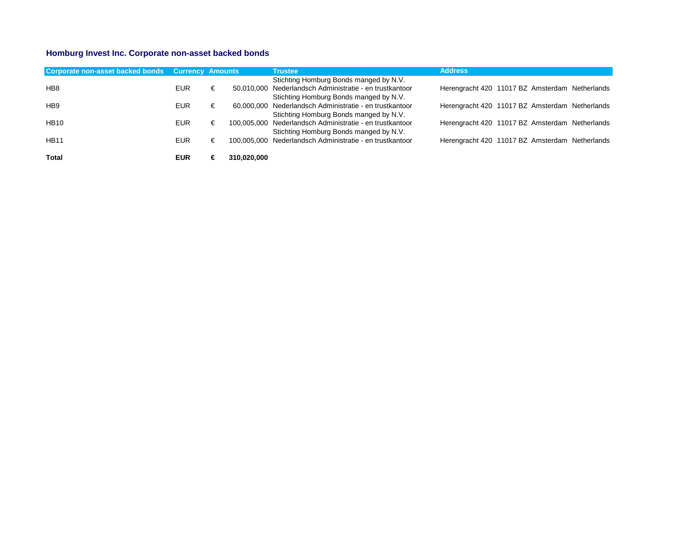## **Homburg Invest Inc. Corporate non-asset backed bonds**

| Corporate non-asset backed bonds Currency Amounts |            |   |             | <b>Trustee</b>                                           | <b>Address</b>                                 |  |  |
|---------------------------------------------------|------------|---|-------------|----------------------------------------------------------|------------------------------------------------|--|--|
|                                                   |            |   |             | Stichting Homburg Bonds manged by N.V.                   |                                                |  |  |
| HB <sub>8</sub>                                   | EUR        | € |             | 50,010,000 Nederlandsch Administratie - en trustkantoor  | Herengracht 420 11017 BZ Amsterdam Netherlands |  |  |
|                                                   |            |   |             | Stichting Homburg Bonds manged by N.V.                   |                                                |  |  |
| HB <sub>9</sub>                                   | EUR.       | € |             | 60,000,000 Nederlandsch Administratie - en trustkantoor  | Herengracht 420 11017 BZ Amsterdam Netherlands |  |  |
|                                                   |            |   |             | Stichting Homburg Bonds manged by N.V.                   |                                                |  |  |
| <b>HB10</b>                                       | EUR.       | € |             | 100,005,000 Nederlandsch Administratie - en trustkantoor | Herengracht 420 11017 BZ Amsterdam Netherlands |  |  |
|                                                   |            |   |             | Stichting Homburg Bonds manged by N.V.                   |                                                |  |  |
| <b>HB11</b>                                       | <b>EUR</b> | € |             | 100.005.000 Nederlandsch Administratie - en trustkantoor | Herengracht 420 11017 BZ Amsterdam Netherlands |  |  |
|                                                   |            |   |             |                                                          |                                                |  |  |
| <b>Total</b>                                      | EUR        | € | 310.020.000 |                                                          |                                                |  |  |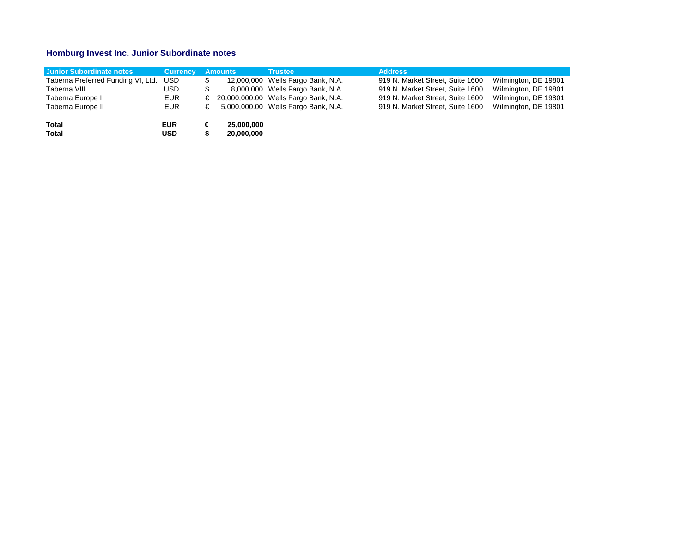## **Homburg Invest Inc. Junior Subordinate notes**

| <b>Junior Subordinate notes</b>    | <b>Currency</b> |   | <b>Amounts</b> | <b>Trustee</b>                         | <b>Address</b>                   |                      |
|------------------------------------|-----------------|---|----------------|----------------------------------------|----------------------------------|----------------------|
| Taberna Preferred Funding VI, Ltd. | USD.            |   |                | 12,000,000 Wells Fargo Bank, N.A.      | 919 N. Market Street, Suite 1600 | Wilmington, DE 19801 |
| Taberna VIII                       | USD-            |   |                | 8,000,000 Wells Fargo Bank, N.A.       | 919 N. Market Street, Suite 1600 | Wilmington, DE 19801 |
| Taberna Europe I                   | <b>EUR</b>      |   |                | € 20,000,000.00 Wells Fargo Bank, N.A. | 919 N. Market Street, Suite 1600 | Wilmington, DE 19801 |
| Taberna Europe II                  | <b>EUR</b>      | € |                | 5,000,000.00 Wells Fargo Bank, N.A.    | 919 N. Market Street, Suite 1600 | Wilmington, DE 19801 |
| <b>Total</b>                       | <b>EUR</b>      | € | 25.000.000     |                                        |                                  |                      |
| <b>Total</b>                       | USD.            |   | 20,000,000     |                                        |                                  |                      |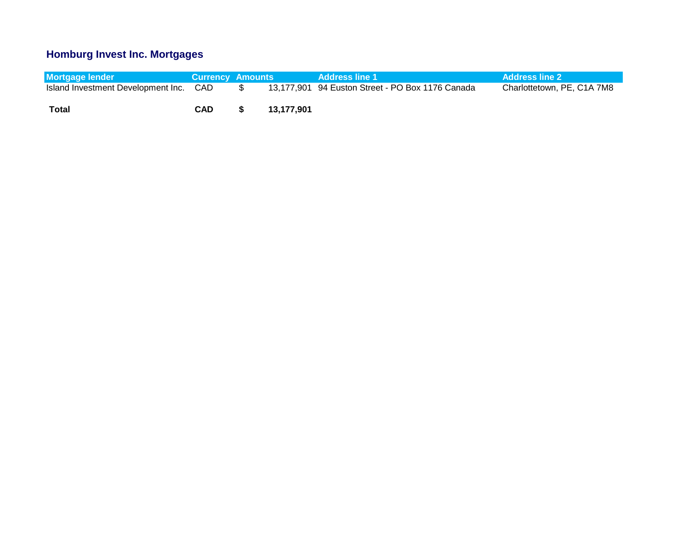## **Homburg Invest Inc. Mortgages**

| <b>Mortgage lender</b>                 | <b>Currency Amounts</b> |            | <b>Address line 1</b>                            | <b>Address line 2</b>      |
|----------------------------------------|-------------------------|------------|--------------------------------------------------|----------------------------|
| Island Investment Development Inc. CAD |                         |            | 13,177,901 94 Euston Street - PO Box 1176 Canada | Charlottetown, PE, C1A 7M8 |
| Total                                  | CAD                     | 13.177.901 |                                                  |                            |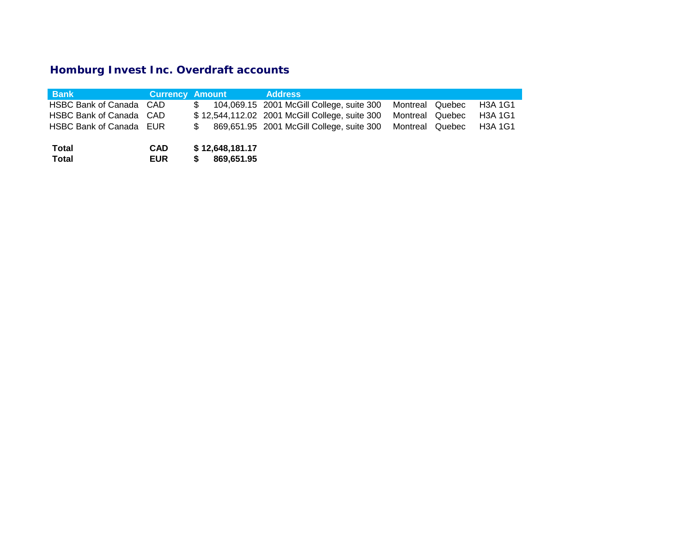# **Homburg Invest Inc. Overdraft accounts**

| <b>Bank</b>                  | Currency Amount          |                               | <b>Address</b>                                            |                 |                |
|------------------------------|--------------------------|-------------------------------|-----------------------------------------------------------|-----------------|----------------|
| HSBC Bank of Canada CAD      |                          | \$                            | 104,069.15 2001 McGill College, suite 300                 | Montreal Quebec | <b>H3A 1G1</b> |
| HSBC Bank of Canada CAD      |                          |                               | \$12,544,112.02 2001 McGill College, suite 300            | Montreal Quebec | <b>H3A 1G1</b> |
| HSBC Bank of Canada EUR      |                          |                               | 869,651.95 2001 McGill College, suite 300 Montreal Quebec |                 | <b>H3A 1G1</b> |
| <b>Total</b><br><b>Total</b> | <b>CAD</b><br><b>EUR</b> | \$12,648,181.17<br>869,651.95 |                                                           |                 |                |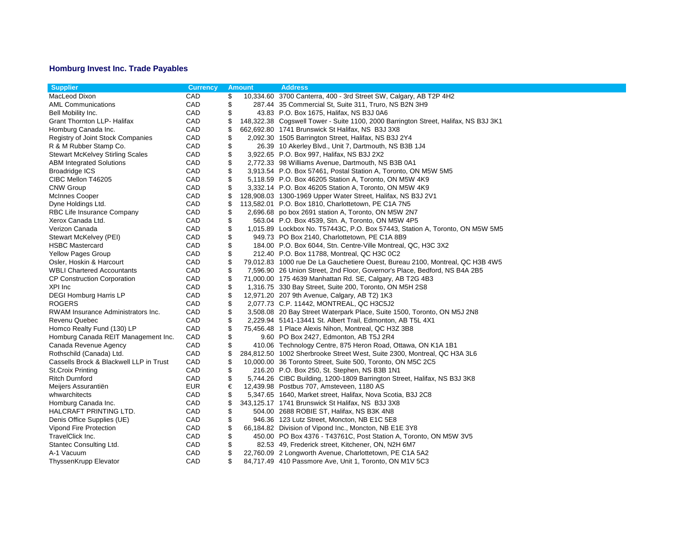## **Homburg Invest Inc. Trade Payables**

| CAD<br>MacLeod Dixon<br>\$<br>10,334.60 3700 Canterra, 400 - 3rd Street SW, Calgary, AB T2P 4H2<br>CAD<br>\$<br>287.44 35 Commercial St, Suite 311, Truro, NS B2N 3H9<br><b>AML Communications</b><br>\$<br>CAD<br>43.83 P.O. Box 1675, Halifax, NS B3J 0A6<br>Bell Mobility Inc.<br>Grant Thornton LLP- Halifax<br>CAD<br>\$<br>148,322.38 Cogswell Tower - Suite 1100, 2000 Barrington Street, Halifax, NS B3J 3K1<br>CAD<br>\$<br>662,692.80 1741 Brunswick St Halifax, NS B3J 3X8<br>Homburg Canada Inc.<br>\$<br>CAD<br>Registry of Joint Stock Companies<br>2,092.30 1505 Barrington Street, Halifax, NS B3J 2Y4<br>\$<br>R & M Rubber Stamp Co.<br>CAD<br>26.39 10 Akerley Blvd., Unit 7, Dartmouth, NS B3B 1J4<br>\$<br>CAD<br><b>Stewart McKelvey Stirling Scales</b><br>3,922.65 P.O. Box 997, Halifax, NS B3J 2X2<br>CAD<br>\$<br><b>ABM Integrated Solutions</b><br>2,772.33 98 Williams Avenue, Dartmouth, NS B3B 0A1<br>\$<br><b>Broadridge ICS</b><br>CAD<br>3,913.54 P.O. Box 57461, Postal Station A, Toronto, ON M5W 5M5<br>\$<br>CAD<br>CIBC Mellon T46205<br>5,118.59 P.O. Box 46205 Station A, Toronto, ON M5W 4K9<br><b>CNW Group</b><br>CAD<br>\$<br>3,332.14 P.O. Box 46205 Station A, Toronto, ON M5W 4K9<br>CAD<br>\$<br>McInnes Cooper<br>128,908.03 1300-1969 Upper Water Street, Halifax, NS B3J 2V1<br>CAD<br>\$<br>Dyne Holdings Ltd.<br>113,582.01 P.O. Box 1810, Charlottetown, PE C1A 7N5<br>CAD<br>\$<br>2,696.68 po box 2691 station A, Toronto, ON M5W 2N7<br>RBC Life Insurance Company<br>\$<br>Xerox Canada Ltd.<br>CAD<br>563.04 P.O. Box 4539, Stn. A, Toronto, ON M5W 4P5<br>\$<br>Verizon Canada<br>CAD<br>1,015.89 Lockbox No. T57443C, P.O. Box 57443, Station A, Toronto, ON M5W 5M5<br>\$<br>CAD<br>Stewart McKelvey (PEI)<br>949.73 PO Box 2140, Charlottetown, PE C1A 8B9<br>\$<br><b>HSBC Mastercard</b><br>CAD<br>184.00 P.O. Box 6044, Stn. Centre-Ville Montreal, QC, H3C 3X2<br>\$<br><b>Yellow Pages Group</b><br>CAD<br>212.40 P.O. Box 11788, Montreal, QC H3C 0C2<br>\$<br>Osler, Hoskin & Harcourt<br>CAD<br>79,012.83 1000 rue De La Gauchetiere Ouest, Bureau 2100, Montreal, QC H3B 4W5<br>\$<br><b>WBLI Chartered Accountants</b><br>CAD<br>7,596.90 26 Union Street, 2nd Floor, Governor's Place, Bedford, NS B4A 2B5<br>\$<br><b>CP Construction Corporation</b><br>CAD<br>71,000.00 175 4639 Manhattan Rd. SE, Calgary, AB T2G 4B3<br>CAD<br>\$<br>XPI Inc<br>1,316.75 330 Bay Street, Suite 200, Toronto, ON M5H 2S8<br><b>DEGI Homburg Harris LP</b><br>CAD<br>\$<br>12,971.20 207 9th Avenue, Calgary, AB T2) 1K3<br>\$<br><b>ROGERS</b><br>CAD<br>2,077.73 C.P. 11442, MONTREAL, QC H3C5J2<br>\$<br>CAD<br>RWAM Insurance Administrators Inc.<br>3,508.08 20 Bay Street Waterpark Place, Suite 1500, Toronto, ON M5J 2N8<br>CAD<br>\$<br>Revenu Quebec<br>2,229.94 5141-13441 St. Albert Trail, Edmonton, AB T5L 4X1<br>\$<br>Homco Realty Fund (130) LP<br>CAD<br>75,456.48 1 Place Alexis Nihon, Montreal, QC H3Z 3B8<br>\$<br>Homburg Canada REIT Management Inc.<br>CAD<br>9.60 PO Box 2427, Edmonton, AB T5J 2R4<br>CAD<br>\$<br>Canada Revenue Agency<br>410.06 Technology Centre, 875 Heron Road, Ottawa, ON K1A 1B1<br>CAD<br>Rothschild (Canada) Ltd.<br>\$<br>284,812.50 1002 Sherbrooke Street West, Suite 2300, Montreal, QC H3A 3L6<br>Cassells Brock & Blackwell LLP in Trust<br>CAD<br>\$<br>10,000.00 36 Toronto Street, Suite 500, Toronto, ON M5C 2C5<br>CAD<br>\$<br><b>St.Croix Printing</b><br>216.20 P.O. Box 250, St. Stephen, NS B3B 1N1<br>\$<br>CAD<br>Ritch Durnford<br>5,744.26 CIBC Building, 1200-1809 Barrington Street, Halifax, NS B3J 3K8<br>EUR<br>12,439.98 Postbus 707, Amsteveen, 1180 AS<br>Meijers Assurantiën<br>€<br>\$<br>whwarchitects<br>CAD<br>5,347.65 1640, Market street, Halifax, Nova Scotia, B3J 2C8 | <b>Supplier</b> | <b>Currency</b> | <b>Amount</b> | <b>Address</b> |
|---------------------------------------------------------------------------------------------------------------------------------------------------------------------------------------------------------------------------------------------------------------------------------------------------------------------------------------------------------------------------------------------------------------------------------------------------------------------------------------------------------------------------------------------------------------------------------------------------------------------------------------------------------------------------------------------------------------------------------------------------------------------------------------------------------------------------------------------------------------------------------------------------------------------------------------------------------------------------------------------------------------------------------------------------------------------------------------------------------------------------------------------------------------------------------------------------------------------------------------------------------------------------------------------------------------------------------------------------------------------------------------------------------------------------------------------------------------------------------------------------------------------------------------------------------------------------------------------------------------------------------------------------------------------------------------------------------------------------------------------------------------------------------------------------------------------------------------------------------------------------------------------------------------------------------------------------------------------------------------------------------------------------------------------------------------------------------------------------------------------------------------------------------------------------------------------------------------------------------------------------------------------------------------------------------------------------------------------------------------------------------------------------------------------------------------------------------------------------------------------------------------------------------------------------------------------------------------------------------------------------------------------------------------------------------------------------------------------------------------------------------------------------------------------------------------------------------------------------------------------------------------------------------------------------------------------------------------------------------------------------------------------------------------------------------------------------------------------------------------------------------------------------------------------------------------------------------------------------------------------------------------------------------------------------------------------------------------------------------------------------------------------------------------------------------------------------------------------------------------------------------------------------------------------------------------------------------------------------------------------------------------------------------------------------------------------------------------------------------------------------------------------------------------------------------------------------------|-----------------|-----------------|---------------|----------------|
|                                                                                                                                                                                                                                                                                                                                                                                                                                                                                                                                                                                                                                                                                                                                                                                                                                                                                                                                                                                                                                                                                                                                                                                                                                                                                                                                                                                                                                                                                                                                                                                                                                                                                                                                                                                                                                                                                                                                                                                                                                                                                                                                                                                                                                                                                                                                                                                                                                                                                                                                                                                                                                                                                                                                                                                                                                                                                                                                                                                                                                                                                                                                                                                                                                                                                                                                                                                                                                                                                                                                                                                                                                                                                                                                                                                                                                 |                 |                 |               |                |
|                                                                                                                                                                                                                                                                                                                                                                                                                                                                                                                                                                                                                                                                                                                                                                                                                                                                                                                                                                                                                                                                                                                                                                                                                                                                                                                                                                                                                                                                                                                                                                                                                                                                                                                                                                                                                                                                                                                                                                                                                                                                                                                                                                                                                                                                                                                                                                                                                                                                                                                                                                                                                                                                                                                                                                                                                                                                                                                                                                                                                                                                                                                                                                                                                                                                                                                                                                                                                                                                                                                                                                                                                                                                                                                                                                                                                                 |                 |                 |               |                |
|                                                                                                                                                                                                                                                                                                                                                                                                                                                                                                                                                                                                                                                                                                                                                                                                                                                                                                                                                                                                                                                                                                                                                                                                                                                                                                                                                                                                                                                                                                                                                                                                                                                                                                                                                                                                                                                                                                                                                                                                                                                                                                                                                                                                                                                                                                                                                                                                                                                                                                                                                                                                                                                                                                                                                                                                                                                                                                                                                                                                                                                                                                                                                                                                                                                                                                                                                                                                                                                                                                                                                                                                                                                                                                                                                                                                                                 |                 |                 |               |                |
|                                                                                                                                                                                                                                                                                                                                                                                                                                                                                                                                                                                                                                                                                                                                                                                                                                                                                                                                                                                                                                                                                                                                                                                                                                                                                                                                                                                                                                                                                                                                                                                                                                                                                                                                                                                                                                                                                                                                                                                                                                                                                                                                                                                                                                                                                                                                                                                                                                                                                                                                                                                                                                                                                                                                                                                                                                                                                                                                                                                                                                                                                                                                                                                                                                                                                                                                                                                                                                                                                                                                                                                                                                                                                                                                                                                                                                 |                 |                 |               |                |
|                                                                                                                                                                                                                                                                                                                                                                                                                                                                                                                                                                                                                                                                                                                                                                                                                                                                                                                                                                                                                                                                                                                                                                                                                                                                                                                                                                                                                                                                                                                                                                                                                                                                                                                                                                                                                                                                                                                                                                                                                                                                                                                                                                                                                                                                                                                                                                                                                                                                                                                                                                                                                                                                                                                                                                                                                                                                                                                                                                                                                                                                                                                                                                                                                                                                                                                                                                                                                                                                                                                                                                                                                                                                                                                                                                                                                                 |                 |                 |               |                |
|                                                                                                                                                                                                                                                                                                                                                                                                                                                                                                                                                                                                                                                                                                                                                                                                                                                                                                                                                                                                                                                                                                                                                                                                                                                                                                                                                                                                                                                                                                                                                                                                                                                                                                                                                                                                                                                                                                                                                                                                                                                                                                                                                                                                                                                                                                                                                                                                                                                                                                                                                                                                                                                                                                                                                                                                                                                                                                                                                                                                                                                                                                                                                                                                                                                                                                                                                                                                                                                                                                                                                                                                                                                                                                                                                                                                                                 |                 |                 |               |                |
|                                                                                                                                                                                                                                                                                                                                                                                                                                                                                                                                                                                                                                                                                                                                                                                                                                                                                                                                                                                                                                                                                                                                                                                                                                                                                                                                                                                                                                                                                                                                                                                                                                                                                                                                                                                                                                                                                                                                                                                                                                                                                                                                                                                                                                                                                                                                                                                                                                                                                                                                                                                                                                                                                                                                                                                                                                                                                                                                                                                                                                                                                                                                                                                                                                                                                                                                                                                                                                                                                                                                                                                                                                                                                                                                                                                                                                 |                 |                 |               |                |
|                                                                                                                                                                                                                                                                                                                                                                                                                                                                                                                                                                                                                                                                                                                                                                                                                                                                                                                                                                                                                                                                                                                                                                                                                                                                                                                                                                                                                                                                                                                                                                                                                                                                                                                                                                                                                                                                                                                                                                                                                                                                                                                                                                                                                                                                                                                                                                                                                                                                                                                                                                                                                                                                                                                                                                                                                                                                                                                                                                                                                                                                                                                                                                                                                                                                                                                                                                                                                                                                                                                                                                                                                                                                                                                                                                                                                                 |                 |                 |               |                |
|                                                                                                                                                                                                                                                                                                                                                                                                                                                                                                                                                                                                                                                                                                                                                                                                                                                                                                                                                                                                                                                                                                                                                                                                                                                                                                                                                                                                                                                                                                                                                                                                                                                                                                                                                                                                                                                                                                                                                                                                                                                                                                                                                                                                                                                                                                                                                                                                                                                                                                                                                                                                                                                                                                                                                                                                                                                                                                                                                                                                                                                                                                                                                                                                                                                                                                                                                                                                                                                                                                                                                                                                                                                                                                                                                                                                                                 |                 |                 |               |                |
|                                                                                                                                                                                                                                                                                                                                                                                                                                                                                                                                                                                                                                                                                                                                                                                                                                                                                                                                                                                                                                                                                                                                                                                                                                                                                                                                                                                                                                                                                                                                                                                                                                                                                                                                                                                                                                                                                                                                                                                                                                                                                                                                                                                                                                                                                                                                                                                                                                                                                                                                                                                                                                                                                                                                                                                                                                                                                                                                                                                                                                                                                                                                                                                                                                                                                                                                                                                                                                                                                                                                                                                                                                                                                                                                                                                                                                 |                 |                 |               |                |
|                                                                                                                                                                                                                                                                                                                                                                                                                                                                                                                                                                                                                                                                                                                                                                                                                                                                                                                                                                                                                                                                                                                                                                                                                                                                                                                                                                                                                                                                                                                                                                                                                                                                                                                                                                                                                                                                                                                                                                                                                                                                                                                                                                                                                                                                                                                                                                                                                                                                                                                                                                                                                                                                                                                                                                                                                                                                                                                                                                                                                                                                                                                                                                                                                                                                                                                                                                                                                                                                                                                                                                                                                                                                                                                                                                                                                                 |                 |                 |               |                |
|                                                                                                                                                                                                                                                                                                                                                                                                                                                                                                                                                                                                                                                                                                                                                                                                                                                                                                                                                                                                                                                                                                                                                                                                                                                                                                                                                                                                                                                                                                                                                                                                                                                                                                                                                                                                                                                                                                                                                                                                                                                                                                                                                                                                                                                                                                                                                                                                                                                                                                                                                                                                                                                                                                                                                                                                                                                                                                                                                                                                                                                                                                                                                                                                                                                                                                                                                                                                                                                                                                                                                                                                                                                                                                                                                                                                                                 |                 |                 |               |                |
|                                                                                                                                                                                                                                                                                                                                                                                                                                                                                                                                                                                                                                                                                                                                                                                                                                                                                                                                                                                                                                                                                                                                                                                                                                                                                                                                                                                                                                                                                                                                                                                                                                                                                                                                                                                                                                                                                                                                                                                                                                                                                                                                                                                                                                                                                                                                                                                                                                                                                                                                                                                                                                                                                                                                                                                                                                                                                                                                                                                                                                                                                                                                                                                                                                                                                                                                                                                                                                                                                                                                                                                                                                                                                                                                                                                                                                 |                 |                 |               |                |
|                                                                                                                                                                                                                                                                                                                                                                                                                                                                                                                                                                                                                                                                                                                                                                                                                                                                                                                                                                                                                                                                                                                                                                                                                                                                                                                                                                                                                                                                                                                                                                                                                                                                                                                                                                                                                                                                                                                                                                                                                                                                                                                                                                                                                                                                                                                                                                                                                                                                                                                                                                                                                                                                                                                                                                                                                                                                                                                                                                                                                                                                                                                                                                                                                                                                                                                                                                                                                                                                                                                                                                                                                                                                                                                                                                                                                                 |                 |                 |               |                |
|                                                                                                                                                                                                                                                                                                                                                                                                                                                                                                                                                                                                                                                                                                                                                                                                                                                                                                                                                                                                                                                                                                                                                                                                                                                                                                                                                                                                                                                                                                                                                                                                                                                                                                                                                                                                                                                                                                                                                                                                                                                                                                                                                                                                                                                                                                                                                                                                                                                                                                                                                                                                                                                                                                                                                                                                                                                                                                                                                                                                                                                                                                                                                                                                                                                                                                                                                                                                                                                                                                                                                                                                                                                                                                                                                                                                                                 |                 |                 |               |                |
|                                                                                                                                                                                                                                                                                                                                                                                                                                                                                                                                                                                                                                                                                                                                                                                                                                                                                                                                                                                                                                                                                                                                                                                                                                                                                                                                                                                                                                                                                                                                                                                                                                                                                                                                                                                                                                                                                                                                                                                                                                                                                                                                                                                                                                                                                                                                                                                                                                                                                                                                                                                                                                                                                                                                                                                                                                                                                                                                                                                                                                                                                                                                                                                                                                                                                                                                                                                                                                                                                                                                                                                                                                                                                                                                                                                                                                 |                 |                 |               |                |
|                                                                                                                                                                                                                                                                                                                                                                                                                                                                                                                                                                                                                                                                                                                                                                                                                                                                                                                                                                                                                                                                                                                                                                                                                                                                                                                                                                                                                                                                                                                                                                                                                                                                                                                                                                                                                                                                                                                                                                                                                                                                                                                                                                                                                                                                                                                                                                                                                                                                                                                                                                                                                                                                                                                                                                                                                                                                                                                                                                                                                                                                                                                                                                                                                                                                                                                                                                                                                                                                                                                                                                                                                                                                                                                                                                                                                                 |                 |                 |               |                |
|                                                                                                                                                                                                                                                                                                                                                                                                                                                                                                                                                                                                                                                                                                                                                                                                                                                                                                                                                                                                                                                                                                                                                                                                                                                                                                                                                                                                                                                                                                                                                                                                                                                                                                                                                                                                                                                                                                                                                                                                                                                                                                                                                                                                                                                                                                                                                                                                                                                                                                                                                                                                                                                                                                                                                                                                                                                                                                                                                                                                                                                                                                                                                                                                                                                                                                                                                                                                                                                                                                                                                                                                                                                                                                                                                                                                                                 |                 |                 |               |                |
|                                                                                                                                                                                                                                                                                                                                                                                                                                                                                                                                                                                                                                                                                                                                                                                                                                                                                                                                                                                                                                                                                                                                                                                                                                                                                                                                                                                                                                                                                                                                                                                                                                                                                                                                                                                                                                                                                                                                                                                                                                                                                                                                                                                                                                                                                                                                                                                                                                                                                                                                                                                                                                                                                                                                                                                                                                                                                                                                                                                                                                                                                                                                                                                                                                                                                                                                                                                                                                                                                                                                                                                                                                                                                                                                                                                                                                 |                 |                 |               |                |
|                                                                                                                                                                                                                                                                                                                                                                                                                                                                                                                                                                                                                                                                                                                                                                                                                                                                                                                                                                                                                                                                                                                                                                                                                                                                                                                                                                                                                                                                                                                                                                                                                                                                                                                                                                                                                                                                                                                                                                                                                                                                                                                                                                                                                                                                                                                                                                                                                                                                                                                                                                                                                                                                                                                                                                                                                                                                                                                                                                                                                                                                                                                                                                                                                                                                                                                                                                                                                                                                                                                                                                                                                                                                                                                                                                                                                                 |                 |                 |               |                |
|                                                                                                                                                                                                                                                                                                                                                                                                                                                                                                                                                                                                                                                                                                                                                                                                                                                                                                                                                                                                                                                                                                                                                                                                                                                                                                                                                                                                                                                                                                                                                                                                                                                                                                                                                                                                                                                                                                                                                                                                                                                                                                                                                                                                                                                                                                                                                                                                                                                                                                                                                                                                                                                                                                                                                                                                                                                                                                                                                                                                                                                                                                                                                                                                                                                                                                                                                                                                                                                                                                                                                                                                                                                                                                                                                                                                                                 |                 |                 |               |                |
|                                                                                                                                                                                                                                                                                                                                                                                                                                                                                                                                                                                                                                                                                                                                                                                                                                                                                                                                                                                                                                                                                                                                                                                                                                                                                                                                                                                                                                                                                                                                                                                                                                                                                                                                                                                                                                                                                                                                                                                                                                                                                                                                                                                                                                                                                                                                                                                                                                                                                                                                                                                                                                                                                                                                                                                                                                                                                                                                                                                                                                                                                                                                                                                                                                                                                                                                                                                                                                                                                                                                                                                                                                                                                                                                                                                                                                 |                 |                 |               |                |
|                                                                                                                                                                                                                                                                                                                                                                                                                                                                                                                                                                                                                                                                                                                                                                                                                                                                                                                                                                                                                                                                                                                                                                                                                                                                                                                                                                                                                                                                                                                                                                                                                                                                                                                                                                                                                                                                                                                                                                                                                                                                                                                                                                                                                                                                                                                                                                                                                                                                                                                                                                                                                                                                                                                                                                                                                                                                                                                                                                                                                                                                                                                                                                                                                                                                                                                                                                                                                                                                                                                                                                                                                                                                                                                                                                                                                                 |                 |                 |               |                |
|                                                                                                                                                                                                                                                                                                                                                                                                                                                                                                                                                                                                                                                                                                                                                                                                                                                                                                                                                                                                                                                                                                                                                                                                                                                                                                                                                                                                                                                                                                                                                                                                                                                                                                                                                                                                                                                                                                                                                                                                                                                                                                                                                                                                                                                                                                                                                                                                                                                                                                                                                                                                                                                                                                                                                                                                                                                                                                                                                                                                                                                                                                                                                                                                                                                                                                                                                                                                                                                                                                                                                                                                                                                                                                                                                                                                                                 |                 |                 |               |                |
|                                                                                                                                                                                                                                                                                                                                                                                                                                                                                                                                                                                                                                                                                                                                                                                                                                                                                                                                                                                                                                                                                                                                                                                                                                                                                                                                                                                                                                                                                                                                                                                                                                                                                                                                                                                                                                                                                                                                                                                                                                                                                                                                                                                                                                                                                                                                                                                                                                                                                                                                                                                                                                                                                                                                                                                                                                                                                                                                                                                                                                                                                                                                                                                                                                                                                                                                                                                                                                                                                                                                                                                                                                                                                                                                                                                                                                 |                 |                 |               |                |
|                                                                                                                                                                                                                                                                                                                                                                                                                                                                                                                                                                                                                                                                                                                                                                                                                                                                                                                                                                                                                                                                                                                                                                                                                                                                                                                                                                                                                                                                                                                                                                                                                                                                                                                                                                                                                                                                                                                                                                                                                                                                                                                                                                                                                                                                                                                                                                                                                                                                                                                                                                                                                                                                                                                                                                                                                                                                                                                                                                                                                                                                                                                                                                                                                                                                                                                                                                                                                                                                                                                                                                                                                                                                                                                                                                                                                                 |                 |                 |               |                |
|                                                                                                                                                                                                                                                                                                                                                                                                                                                                                                                                                                                                                                                                                                                                                                                                                                                                                                                                                                                                                                                                                                                                                                                                                                                                                                                                                                                                                                                                                                                                                                                                                                                                                                                                                                                                                                                                                                                                                                                                                                                                                                                                                                                                                                                                                                                                                                                                                                                                                                                                                                                                                                                                                                                                                                                                                                                                                                                                                                                                                                                                                                                                                                                                                                                                                                                                                                                                                                                                                                                                                                                                                                                                                                                                                                                                                                 |                 |                 |               |                |
|                                                                                                                                                                                                                                                                                                                                                                                                                                                                                                                                                                                                                                                                                                                                                                                                                                                                                                                                                                                                                                                                                                                                                                                                                                                                                                                                                                                                                                                                                                                                                                                                                                                                                                                                                                                                                                                                                                                                                                                                                                                                                                                                                                                                                                                                                                                                                                                                                                                                                                                                                                                                                                                                                                                                                                                                                                                                                                                                                                                                                                                                                                                                                                                                                                                                                                                                                                                                                                                                                                                                                                                                                                                                                                                                                                                                                                 |                 |                 |               |                |
|                                                                                                                                                                                                                                                                                                                                                                                                                                                                                                                                                                                                                                                                                                                                                                                                                                                                                                                                                                                                                                                                                                                                                                                                                                                                                                                                                                                                                                                                                                                                                                                                                                                                                                                                                                                                                                                                                                                                                                                                                                                                                                                                                                                                                                                                                                                                                                                                                                                                                                                                                                                                                                                                                                                                                                                                                                                                                                                                                                                                                                                                                                                                                                                                                                                                                                                                                                                                                                                                                                                                                                                                                                                                                                                                                                                                                                 |                 |                 |               |                |
|                                                                                                                                                                                                                                                                                                                                                                                                                                                                                                                                                                                                                                                                                                                                                                                                                                                                                                                                                                                                                                                                                                                                                                                                                                                                                                                                                                                                                                                                                                                                                                                                                                                                                                                                                                                                                                                                                                                                                                                                                                                                                                                                                                                                                                                                                                                                                                                                                                                                                                                                                                                                                                                                                                                                                                                                                                                                                                                                                                                                                                                                                                                                                                                                                                                                                                                                                                                                                                                                                                                                                                                                                                                                                                                                                                                                                                 |                 |                 |               |                |
|                                                                                                                                                                                                                                                                                                                                                                                                                                                                                                                                                                                                                                                                                                                                                                                                                                                                                                                                                                                                                                                                                                                                                                                                                                                                                                                                                                                                                                                                                                                                                                                                                                                                                                                                                                                                                                                                                                                                                                                                                                                                                                                                                                                                                                                                                                                                                                                                                                                                                                                                                                                                                                                                                                                                                                                                                                                                                                                                                                                                                                                                                                                                                                                                                                                                                                                                                                                                                                                                                                                                                                                                                                                                                                                                                                                                                                 |                 |                 |               |                |
|                                                                                                                                                                                                                                                                                                                                                                                                                                                                                                                                                                                                                                                                                                                                                                                                                                                                                                                                                                                                                                                                                                                                                                                                                                                                                                                                                                                                                                                                                                                                                                                                                                                                                                                                                                                                                                                                                                                                                                                                                                                                                                                                                                                                                                                                                                                                                                                                                                                                                                                                                                                                                                                                                                                                                                                                                                                                                                                                                                                                                                                                                                                                                                                                                                                                                                                                                                                                                                                                                                                                                                                                                                                                                                                                                                                                                                 |                 |                 |               |                |
|                                                                                                                                                                                                                                                                                                                                                                                                                                                                                                                                                                                                                                                                                                                                                                                                                                                                                                                                                                                                                                                                                                                                                                                                                                                                                                                                                                                                                                                                                                                                                                                                                                                                                                                                                                                                                                                                                                                                                                                                                                                                                                                                                                                                                                                                                                                                                                                                                                                                                                                                                                                                                                                                                                                                                                                                                                                                                                                                                                                                                                                                                                                                                                                                                                                                                                                                                                                                                                                                                                                                                                                                                                                                                                                                                                                                                                 |                 |                 |               |                |
|                                                                                                                                                                                                                                                                                                                                                                                                                                                                                                                                                                                                                                                                                                                                                                                                                                                                                                                                                                                                                                                                                                                                                                                                                                                                                                                                                                                                                                                                                                                                                                                                                                                                                                                                                                                                                                                                                                                                                                                                                                                                                                                                                                                                                                                                                                                                                                                                                                                                                                                                                                                                                                                                                                                                                                                                                                                                                                                                                                                                                                                                                                                                                                                                                                                                                                                                                                                                                                                                                                                                                                                                                                                                                                                                                                                                                                 |                 |                 |               |                |
|                                                                                                                                                                                                                                                                                                                                                                                                                                                                                                                                                                                                                                                                                                                                                                                                                                                                                                                                                                                                                                                                                                                                                                                                                                                                                                                                                                                                                                                                                                                                                                                                                                                                                                                                                                                                                                                                                                                                                                                                                                                                                                                                                                                                                                                                                                                                                                                                                                                                                                                                                                                                                                                                                                                                                                                                                                                                                                                                                                                                                                                                                                                                                                                                                                                                                                                                                                                                                                                                                                                                                                                                                                                                                                                                                                                                                                 |                 |                 |               |                |
|                                                                                                                                                                                                                                                                                                                                                                                                                                                                                                                                                                                                                                                                                                                                                                                                                                                                                                                                                                                                                                                                                                                                                                                                                                                                                                                                                                                                                                                                                                                                                                                                                                                                                                                                                                                                                                                                                                                                                                                                                                                                                                                                                                                                                                                                                                                                                                                                                                                                                                                                                                                                                                                                                                                                                                                                                                                                                                                                                                                                                                                                                                                                                                                                                                                                                                                                                                                                                                                                                                                                                                                                                                                                                                                                                                                                                                 |                 |                 |               |                |
|                                                                                                                                                                                                                                                                                                                                                                                                                                                                                                                                                                                                                                                                                                                                                                                                                                                                                                                                                                                                                                                                                                                                                                                                                                                                                                                                                                                                                                                                                                                                                                                                                                                                                                                                                                                                                                                                                                                                                                                                                                                                                                                                                                                                                                                                                                                                                                                                                                                                                                                                                                                                                                                                                                                                                                                                                                                                                                                                                                                                                                                                                                                                                                                                                                                                                                                                                                                                                                                                                                                                                                                                                                                                                                                                                                                                                                 |                 |                 |               |                |
| \$<br>CAD<br>Homburg Canada Inc.<br>343,125.17 1741 Brunswick St Halifax, NS B3J 3X8                                                                                                                                                                                                                                                                                                                                                                                                                                                                                                                                                                                                                                                                                                                                                                                                                                                                                                                                                                                                                                                                                                                                                                                                                                                                                                                                                                                                                                                                                                                                                                                                                                                                                                                                                                                                                                                                                                                                                                                                                                                                                                                                                                                                                                                                                                                                                                                                                                                                                                                                                                                                                                                                                                                                                                                                                                                                                                                                                                                                                                                                                                                                                                                                                                                                                                                                                                                                                                                                                                                                                                                                                                                                                                                                            |                 |                 |               |                |
| \$<br>CAD<br>504.00 2688 ROBIE ST, Halifax, NS B3K 4N8<br>HALCRAFT PRINTING LTD.                                                                                                                                                                                                                                                                                                                                                                                                                                                                                                                                                                                                                                                                                                                                                                                                                                                                                                                                                                                                                                                                                                                                                                                                                                                                                                                                                                                                                                                                                                                                                                                                                                                                                                                                                                                                                                                                                                                                                                                                                                                                                                                                                                                                                                                                                                                                                                                                                                                                                                                                                                                                                                                                                                                                                                                                                                                                                                                                                                                                                                                                                                                                                                                                                                                                                                                                                                                                                                                                                                                                                                                                                                                                                                                                                |                 |                 |               |                |
| CAD<br>\$<br>Denis Office Supplies (UE)<br>946.36 123 Lutz Street, Moncton, NB E1C 5E8                                                                                                                                                                                                                                                                                                                                                                                                                                                                                                                                                                                                                                                                                                                                                                                                                                                                                                                                                                                                                                                                                                                                                                                                                                                                                                                                                                                                                                                                                                                                                                                                                                                                                                                                                                                                                                                                                                                                                                                                                                                                                                                                                                                                                                                                                                                                                                                                                                                                                                                                                                                                                                                                                                                                                                                                                                                                                                                                                                                                                                                                                                                                                                                                                                                                                                                                                                                                                                                                                                                                                                                                                                                                                                                                          |                 |                 |               |                |
| Vipond Fire Protection<br>CAD<br>\$<br>66,184.82 Division of Vipond Inc., Moncton, NB E1E 3Y8                                                                                                                                                                                                                                                                                                                                                                                                                                                                                                                                                                                                                                                                                                                                                                                                                                                                                                                                                                                                                                                                                                                                                                                                                                                                                                                                                                                                                                                                                                                                                                                                                                                                                                                                                                                                                                                                                                                                                                                                                                                                                                                                                                                                                                                                                                                                                                                                                                                                                                                                                                                                                                                                                                                                                                                                                                                                                                                                                                                                                                                                                                                                                                                                                                                                                                                                                                                                                                                                                                                                                                                                                                                                                                                                   |                 |                 |               |                |
| \$<br>TravelClick Inc.<br>CAD<br>450.00 PO Box 4376 - T43761C, Post Station A, Toronto, ON M5W 3V5                                                                                                                                                                                                                                                                                                                                                                                                                                                                                                                                                                                                                                                                                                                                                                                                                                                                                                                                                                                                                                                                                                                                                                                                                                                                                                                                                                                                                                                                                                                                                                                                                                                                                                                                                                                                                                                                                                                                                                                                                                                                                                                                                                                                                                                                                                                                                                                                                                                                                                                                                                                                                                                                                                                                                                                                                                                                                                                                                                                                                                                                                                                                                                                                                                                                                                                                                                                                                                                                                                                                                                                                                                                                                                                              |                 |                 |               |                |
| \$<br>Stantec Consulting Ltd.<br>CAD<br>82.53 49, Frederick street, Kitchener, ON, N2H 6M7                                                                                                                                                                                                                                                                                                                                                                                                                                                                                                                                                                                                                                                                                                                                                                                                                                                                                                                                                                                                                                                                                                                                                                                                                                                                                                                                                                                                                                                                                                                                                                                                                                                                                                                                                                                                                                                                                                                                                                                                                                                                                                                                                                                                                                                                                                                                                                                                                                                                                                                                                                                                                                                                                                                                                                                                                                                                                                                                                                                                                                                                                                                                                                                                                                                                                                                                                                                                                                                                                                                                                                                                                                                                                                                                      |                 |                 |               |                |
| A-1 Vacuum<br>CAD<br>\$<br>22,760.09 2 Longworth Avenue, Charlottetown, PE C1A 5A2                                                                                                                                                                                                                                                                                                                                                                                                                                                                                                                                                                                                                                                                                                                                                                                                                                                                                                                                                                                                                                                                                                                                                                                                                                                                                                                                                                                                                                                                                                                                                                                                                                                                                                                                                                                                                                                                                                                                                                                                                                                                                                                                                                                                                                                                                                                                                                                                                                                                                                                                                                                                                                                                                                                                                                                                                                                                                                                                                                                                                                                                                                                                                                                                                                                                                                                                                                                                                                                                                                                                                                                                                                                                                                                                              |                 |                 |               |                |
| \$<br><b>ThyssenKrupp Elevator</b><br>CAD<br>84,717.49 410 Passmore Ave, Unit 1, Toronto, ON M1V 5C3                                                                                                                                                                                                                                                                                                                                                                                                                                                                                                                                                                                                                                                                                                                                                                                                                                                                                                                                                                                                                                                                                                                                                                                                                                                                                                                                                                                                                                                                                                                                                                                                                                                                                                                                                                                                                                                                                                                                                                                                                                                                                                                                                                                                                                                                                                                                                                                                                                                                                                                                                                                                                                                                                                                                                                                                                                                                                                                                                                                                                                                                                                                                                                                                                                                                                                                                                                                                                                                                                                                                                                                                                                                                                                                            |                 |                 |               |                |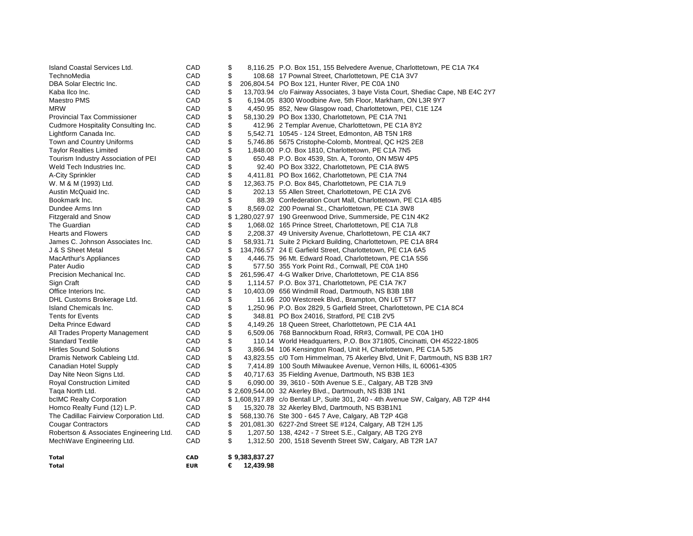| Island Coastal Services Ltd.            | CAD        | \$ |                | 8,116.25 P.O. Box 151, 155 Belvedere Avenue, Charlottetown, PE C1A 7K4             |
|-----------------------------------------|------------|----|----------------|------------------------------------------------------------------------------------|
| TechnoMedia                             | CAD        | \$ |                | 108.68 17 Pownal Street, Charlottetown, PE C1A 3V7                                 |
| DBA Solar Electric Inc.                 | CAD        | \$ |                | 206,804.54 PO Box 121, Hunter River, PE C0A 1N0                                    |
| Kaba Ilco Inc.                          | CAD        | \$ |                | 13,703.94 c/o Fairway Associates, 3 baye Vista Court, Shediac Cape, NB E4C 2Y7     |
| Maestro PMS                             | CAD        | \$ |                | 6,194.05 8300 Woodbine Ave, 5th Floor, Markham, ON L3R 9Y7                         |
| <b>MRW</b>                              | CAD        | \$ |                | 4,450.95 852, New Glasgow road, Charlottetown, PEI, C1E 1Z4                        |
| <b>Provincial Tax Commissioner</b>      | CAD        | \$ |                | 58,130.29 PO Box 1330, Charlottetown, PE C1A 7N1                                   |
| Cudmore Hospitality Consulting Inc.     | CAD        | \$ |                | 412.96 2 Templar Avenue, Charlottetown, PE C1A 8Y2                                 |
| Lightform Canada Inc.                   | CAD        | \$ |                | 5,542.71 10545 - 124 Street, Edmonton, AB T5N 1R8                                  |
| Town and Country Uniforms               | CAD        | \$ |                | 5,746.86 5675 Cristophe-Colomb, Montreal, QC H2S 2E8                               |
| <b>Taylor Realties Limited</b>          | CAD        | \$ |                | 1,848.00 P.O. Box 1810, Charlottetown, PE C1A 7N5                                  |
| Tourism Industry Association of PEI     | CAD        | \$ |                | 650.48 P.O. Box 4539, Stn. A, Toronto, ON M5W 4P5                                  |
| Weld Tech Industries Inc.               | CAD        | \$ |                | 92.40 PO Box 3322, Charlottetown, PE C1A 8W5                                       |
| A-City Sprinkler                        | CAD        | \$ |                | 4,411.81 PO Box 1662, Charlottetown, PE C1A 7N4                                    |
| W. M & M (1993) Ltd.                    | CAD        | \$ |                | 12,363.75 P.O. Box 845, Charlottetown, PE C1A 7L9                                  |
| Austin McQuaid Inc.                     | CAD        | \$ |                | 202.13 55 Allen Street, Charlottetown, PE C1A 2V6                                  |
| Bookmark Inc.                           | CAD        | \$ |                | 88.39 Confederation Court Mall, Charlottetown, PE C1A 4B5                          |
| Dundee Arms Inn                         | CAD        | \$ |                | 8,569.02 200 Pownal St., Charlottetown, PE C1A 3W8                                 |
| <b>Fitzgerald and Snow</b>              | CAD        |    |                | \$1,280,027.97 190 Greenwood Drive, Summerside, PE C1N 4K2                         |
| The Guardian                            | CAD        | \$ |                | 1,068.02 165 Prince Street, Charlottetown, PE C1A 7L8                              |
| <b>Hearts and Flowers</b>               | CAD        | \$ |                | 2,208.37 49 University Avenue, Charlottetown, PE C1A 4K7                           |
| James C. Johnson Associates Inc.        | CAD        | \$ |                | 58,931.71 Suite 2 Pickard Building, Charlottetown, PE C1A 8R4                      |
| J & S Sheet Metal                       | CAD        | \$ |                | 134,766.57 24 E Garfield Street, Charlottetown, PE C1A 6A5                         |
| MacArthur's Appliances                  | CAD        | \$ |                | 4,446.75 96 Mt. Edward Road, Charlottetown, PE C1A 5S6                             |
| Pater Audio                             | CAD        | \$ |                | 577.50 355 York Point Rd., Cornwall, PE C0A 1H0                                    |
| Precision Mechanical Inc.               | CAD        | \$ |                | 261,596.47 4-G Walker Drive, Charlottetown, PE C1A 8S6                             |
| Sign Craft                              | CAD        | \$ |                | 1,114.57 P.O. Box 371, Charlottetown, PE C1A 7K7                                   |
| Office Interiors Inc.                   | CAD        | \$ |                | 10,403.09 656 Windmill Road, Dartmouth, NS B3B 1B8                                 |
| DHL Customs Brokerage Ltd.              | CAD        | \$ |                | 11.66 200 Westcreek Blvd., Brampton, ON L6T 5T7                                    |
| Island Chemicals Inc.                   | CAD        | \$ |                | 1,250.96 P.O. Box 2829, 5 Garfield Street, Charlottetown, PE C1A 8C4               |
| <b>Tents for Events</b>                 | CAD        | \$ |                | 348.81 PO Box 24016, Stratford, PE C1B 2V5                                         |
| Delta Prince Edward                     | CAD        | \$ |                | 4,149.26 18 Queen Street, Charlottetown, PE C1A 4A1                                |
| All Trades Property Management          | CAD        | \$ |                | 6,509.06 768 Bannockburn Road, RR#3, Cornwall, PE C0A 1H0                          |
| <b>Standard Textile</b>                 | CAD        | \$ |                | 110.14 World Headquarters, P.O. Box 371805, Cincinatti, OH 45222-1805              |
| <b>Hirtles Sound Solutions</b>          | CAD        | \$ |                | 3,866.94 106 Kensington Road, Unit H, Charlottetown, PE C1A 5J5                    |
| Dramis Network Cableing Ltd.            | CAD        | \$ |                | 43,823.55 c/0 Tom Himmelman, 75 Akerley Blvd, Unit F, Dartmouth, NS B3B 1R7        |
| Canadian Hotel Supply                   | CAD        | \$ |                | 7,414.89 100 South Milwaukee Avenue, Vernon Hills, IL 60061-4305                   |
| Day Nite Neon Signs Ltd.                | CAD        | \$ |                | 40,717.63 35 Fielding Avenue, Dartmouth, NS B3B 1E3                                |
| <b>Royal Construction Limited</b>       | CAD        |    |                | 6,090.00 39, 3610 - 50th Avenue S.E., Calgary, AB T2B 3N9                          |
| Taga North Ltd.                         | CAD        |    |                | \$2,609,544.00 32 Akerley Blvd., Dartmouth, NS B3B 1N1                             |
| bcIMC Realty Corporation                | CAD        |    |                | \$1,608,917.89 c/o Bentall LP, Suite 301, 240 - 4th Avenue SW, Calgary, AB T2P 4H4 |
| Homco Realty Fund (12) L.P.             | CAD        | \$ |                | 15,320.78 32 Akerley Blvd, Dartmouth, NS B3B1N1                                    |
| The Cadillac Fairview Corporation Ltd.  | CAD        | \$ |                | 568,130.76 Ste 300 - 645 7 Ave, Calgary, AB T2P 4G8                                |
| <b>Cougar Contractors</b>               | CAD        | \$ |                | 201,081.30 6227-2nd Street SE #124, Calgary, AB T2H 1J5                            |
| Robertson & Associates Engineering Ltd. | CAD        | \$ |                | 1,207.50 138, 4242 - 7 Street S.E., Calgary, AB T2G 2Y8                            |
| MechWave Engineering Ltd.               | CAD        | \$ |                | 1,312.50 200, 1518 Seventh Street SW, Calgary, AB T2R 1A7                          |
| Total                                   | CAD        |    | \$9,383,837.27 |                                                                                    |
| <b>Total</b>                            | <b>EUR</b> | €  | 12,439.98      |                                                                                    |